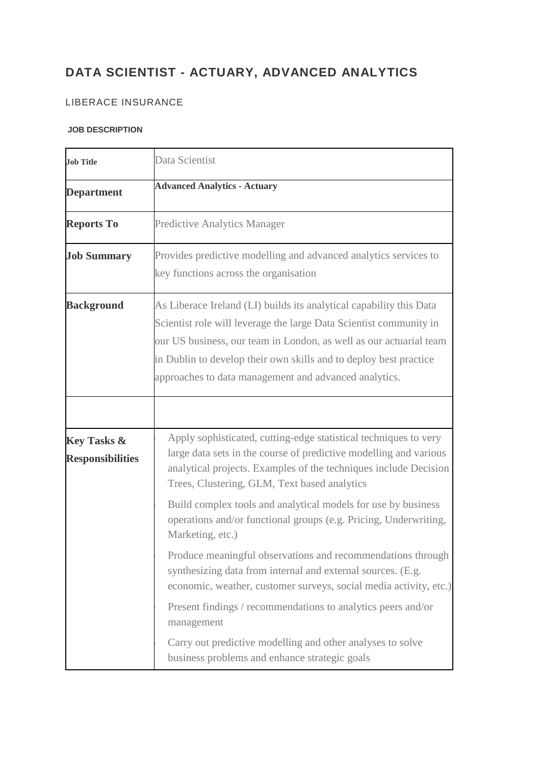## **DATA SCIENTIST - ACTUARY, ADVANCED ANALYTICS**

## LIBERACE INSURANCE

## **JOB DESCRIPTION**

| <b>Job Title</b>                                  | Data Scientist                                                                                                                                                                                                                                                                                                                                |
|---------------------------------------------------|-----------------------------------------------------------------------------------------------------------------------------------------------------------------------------------------------------------------------------------------------------------------------------------------------------------------------------------------------|
| <b>Department</b>                                 | <b>Advanced Analytics - Actuary</b>                                                                                                                                                                                                                                                                                                           |
| <b>Reports To</b>                                 | <b>Predictive Analytics Manager</b>                                                                                                                                                                                                                                                                                                           |
| <b>Job Summary</b>                                | Provides predictive modelling and advanced analytics services to<br>key functions across the organisation                                                                                                                                                                                                                                     |
| <b>Background</b>                                 | As Liberace Ireland (LI) builds its analytical capability this Data<br>Scientist role will leverage the large Data Scientist community in<br>our US business, our team in London, as well as our actuarial team<br>in Dublin to develop their own skills and to deploy best practice<br>approaches to data management and advanced analytics. |
|                                                   |                                                                                                                                                                                                                                                                                                                                               |
| <b>Key Tasks &amp;</b><br><b>Responsibilities</b> | Apply sophisticated, cutting-edge statistical techniques to very<br>large data sets in the course of predictive modelling and various<br>analytical projects. Examples of the techniques include Decision<br>Trees, Clustering, GLM, Text based analytics                                                                                     |
|                                                   | Build complex tools and analytical models for use by business<br>operations and/or functional groups (e.g. Pricing, Underwriting,<br>Marketing, etc.)                                                                                                                                                                                         |
|                                                   | Produce meaningful observations and recommendations through<br>synthesizing data from internal and external sources. (E.g.<br>economic, weather, customer surveys, social media activity, etc.)                                                                                                                                               |
|                                                   | Present findings / recommendations to analytics peers and/or<br>management                                                                                                                                                                                                                                                                    |
|                                                   | Carry out predictive modelling and other analyses to solve<br>business problems and enhance strategic goals                                                                                                                                                                                                                                   |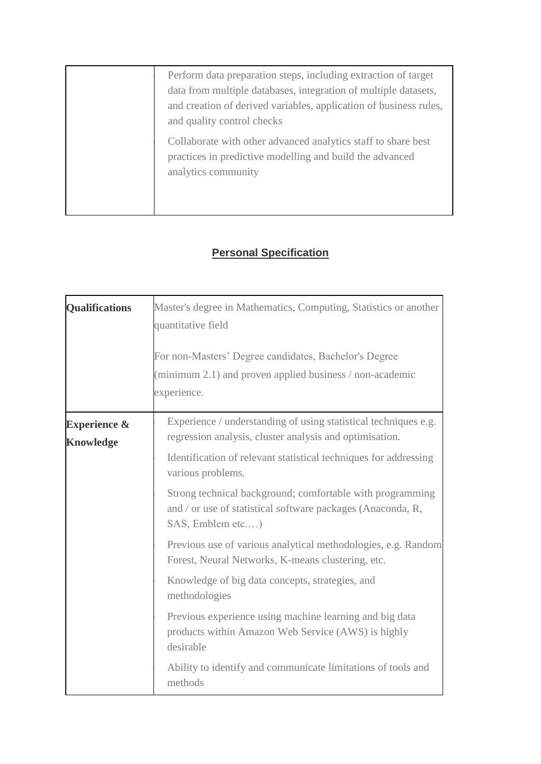Perform data preparation steps, including extraction of target data from multiple databases, integration of multiple datasets, and creation of derived variables, application of business rules, and quality control checks Collaborate with other advanced analytics staff to share best

practices in predictive modelling and build the advanced analytics community

## **Personal Specification**

| <b>Qualifications</b>                       | Master's degree in Mathematics, Computing, Statistics or another<br>quantitative field<br>For non-Masters' Degree candidates, Bachelor's Degree<br>(minimum 2.1) and proven applied business / non-academic<br>experience. |
|---------------------------------------------|----------------------------------------------------------------------------------------------------------------------------------------------------------------------------------------------------------------------------|
| <b>Experience &amp;</b><br><b>Knowledge</b> | Experience / understanding of using statistical techniques e.g.<br>regression analysis, cluster analysis and optimisation.                                                                                                 |
|                                             | Identification of relevant statistical techniques for addressing<br>various problems.                                                                                                                                      |
|                                             | Strong technical background; comfortable with programming<br>and / or use of statistical software packages (Anaconda, R,<br>SAS, Emblem etc)                                                                               |
|                                             | Previous use of various analytical methodologies, e.g. Random<br>Forest, Neural Networks, K-means clustering, etc.                                                                                                         |
|                                             | Knowledge of big data concepts, strategies, and<br>methodologies                                                                                                                                                           |
|                                             | Previous experience using machine learning and big data<br>products within Amazon Web Service (AWS) is highly<br>desirable                                                                                                 |
|                                             | Ability to identify and communicate limitations of tools and<br>methods                                                                                                                                                    |